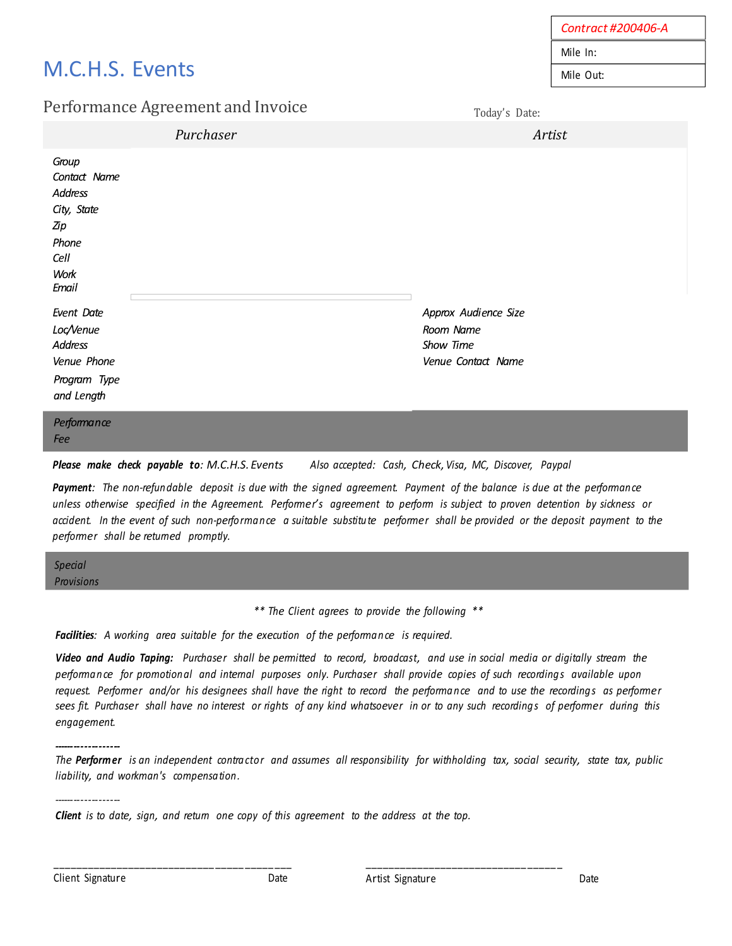# M.C.H.S. Events

# Performance Agreement and Invoice

*Contract #200406-A* Mile In: Mile Out:

Today's Date:

|                                                                                          | Purchaser | Artist                                                               |
|------------------------------------------------------------------------------------------|-----------|----------------------------------------------------------------------|
| Group<br>Contact Name<br>Address<br>City, State<br>Zip<br>Phone<br>Cell<br>Work<br>Email |           |                                                                      |
| Event Date<br>Loc/Venue<br>Address<br>Venue Phone<br>Program Type<br>and Length          |           | Approx Audience Size<br>Room Name<br>Show Time<br>Venue Contact Name |
| Performance                                                                              |           |                                                                      |

*Please make check payable to: M.C.H.S. Events Also accepted: Cash, Check, Visa, MC, Discover, Paypal*

Payment: The non-refundable deposit is due with the signed agreement. Payment of the balance is due at the performance unless otherwise specified in the Agreement. Performer's agreement to perform is subject to proven detention by sickness or accident. In the event of such non-performance a suitable substitute performer shall be provided or the deposit payment to the *performer shall be returned promptly.*

*Special Provisions*

*ee*

*\*\* The Client agrees to provide the following \*\**

*Facilities: A working area suitable for the execution of the performance is required.*

Video and Audio Taping: Purchaser shall be permitted to record, broadcast, and use in social media or digitally stream the performance for promotional and internal purposes only. Purchaser shall provide copies of such recordings available upon request. Performer and/or his designees shall have the right to record the performance and to use the recordings as performer sees fit. Purchaser shall have no interest or rights of any kind whatsoever in or to any such recordings of performer during this *engagement.*

*-------------------* The Performer is an independent contractor and assumes all responsibility for withholding tax, social security, state tax, public *liability, and workman's compensation.*

*Client is to date, sign, and return one copy of this agreement to the address at the top.*

\_\_\_\_\_\_\_\_\_\_\_\_\_\_\_\_\_\_\_\_\_\_\_\_\_\_\_\_ \_\_\_\_\_ \_\_\_\_\_ \_\_\_

*-------------------*

\_\_\_\_\_\_\_\_\_\_\_\_\_\_\_\_\_\_\_\_\_\_\_\_\_\_\_\_ \_\_\_\_\_ \_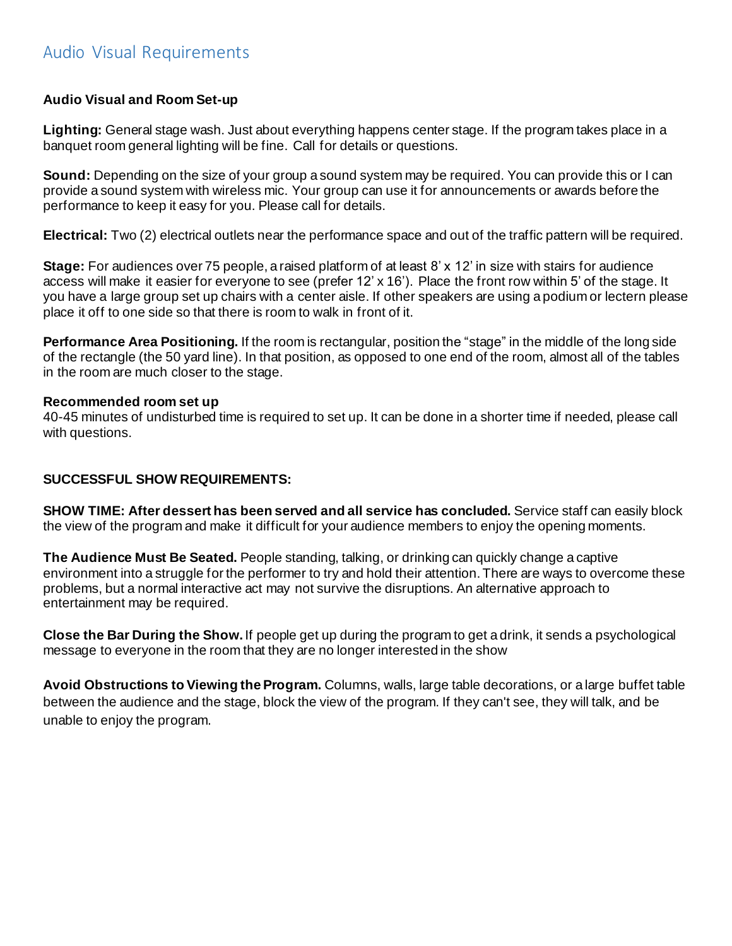# Audio Visual Requirements

## **Audio Visual and Room Set-up**

**Lighting:** General stage wash. Just about everything happens center stage. If the program takes place in a banquet room general lighting will be fine. Call for details or questions.

**Sound:** Depending on the size of your group a sound system may be required. You can provide this or I can provide a sound system with wireless mic. Your group can use it for announcements or awards before the performance to keep it easy for you. Please call for details.

**Electrical:** Two (2) electrical outlets near the performance space and out of the traffic pattern will be required.

**Stage:** For audiences over 75 people, a raised platform of at least 8' x 12' in size with stairs for audience access will make it easier for everyone to see (prefer 12' x 16'). Place the front row within 5' of the stage. It you have a large group set up chairs with a center aisle. If other speakers are using a podium or lectern please place it off to one side so that there is room to walk in front of it.

**Performance Area Positioning.** If the room is rectangular, position the "stage" in the middle of the long side of the rectangle (the 50 yard line). In that position, as opposed to one end of the room, almost all of the tables in the room are much closer to the stage.

#### **Recommended room set up**

40-45 minutes of undisturbed time is required to set up. It can be done in a shorter time if needed, please call with questions.

### **SUCCESSFUL SHOW REQUIREMENTS:**

**SHOW TIME: After dessert has been served and all service has concluded.** Service staff can easily block the view of the program and make it difficult for your audience members to enjoy the opening moments.

**The Audience Must Be Seated.** People standing, talking, or drinking can quickly change a captive environment into a struggle for the performer to try and hold their attention. There are ways to overcome these problems, but a normal interactive act may not survive the disruptions. An alternative approach to entertainment may be required.

**Close the Bar During the Show.** If people get up during the program to get a drink, it sends a psychological message to everyone in the room that they are no longer interested in the show

**Avoid Obstructions to Viewing theProgram.** Columns, walls, large table decorations, or a large buffet table between the audience and the stage, block the view of the program. If they can't see, they will talk, and be unable to enjoy the program.